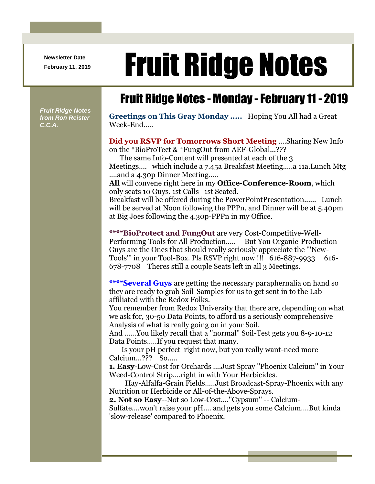**Newsletter Date**

## Newsletter Date **Fruit Ridge Notes**

## Fruit Ridge Notes - Monday -February 11 - 2019

*Fruit Ridge Notes from Ron Reister C.C.A.*

**Greetings on This Gray Monday .....** Hoping You All had a Great Week-End.....

**Did you RSVP for Tomorrows Short Meeting** ....Sharing New Info on the \*BioProTect & \*FungOut from AEF-Global...???

The same Info-Content will presented at each of the 3

Meetings.... which include a 7.45a Breakfast Meeting.....a 11a.Lunch Mtg ....and a 4.30p Dinner Meeting.....

**All** will convene right here in my **Office-Conference-Room**, which only seats 10 Guys. 1st Calls--1st Seated.

Breakfast will be offered during the PowerPointPresentation...... Lunch will be served at Noon following the PPPn, and Dinner will be at 5.40pm at Big Joes following the 4.30p-PPPn in my Office.

**\*\*\*\*BioProtect and FungOut** are very Cost-Competitive-Well-Performing Tools for All Production..... But You Organic-Production-Guys are the Ones that should really seriously appreciate the '''New-Tools"' in your Tool-Box. Pls RSVP right now !!! 616-887-9933 616-678-7708 Theres still a couple Seats left in all 3 Meetings.

**\*\*\*\*Several Guys** are getting the necessary paraphernalia on hand so they are ready to grab Soil-Samples for us to get sent in to the Lab affiliated with the Redox Folks.

You remember from Redox University that there are, depending on what we ask for, 30-50 Data Points, to afford us a seriously comprehensive Analysis of what is really going on in your Soil.

And ......You likely recall that a ''normal'' Soil-Test gets you 8-9-10-12 Data Points.....If you request that many.

Is your pH perfect right now, but you really want-need more Calcium...??? So.....

**1. Easy**-Low-Cost for Orchards ....Just Spray ''Phoenix Calcium'' in Your Weed-Control Strip....right in with Your Herbicides.

Hay-Alfalfa-Grain Fields.....Just Broadcast-Spray-Phoenix with any Nutrition or Herbicide or All-of-the-Above-Sprays.

**2. Not so Easy**--Not so Low-Cost....''Gypsum'' -- Calcium-

Sulfate....won't raise your pH.... and gets you some Calcium....But kinda 'slow-release' compared to Phoenix.